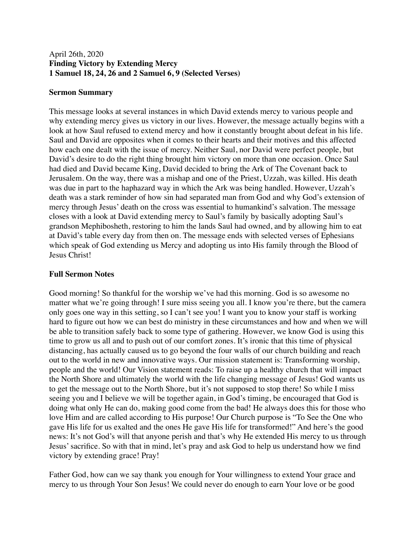## April 26th, 2020 **Finding Victory by Extending Mercy 1 Samuel 18, 24, 26 and 2 Samuel 6, 9 (Selected Verses)**

### **Sermon Summary**

This message looks at several instances in which David extends mercy to various people and why extending mercy gives us victory in our lives. However, the message actually begins with a look at how Saul refused to extend mercy and how it constantly brought about defeat in his life. Saul and David are opposites when it comes to their hearts and their motives and this affected how each one dealt with the issue of mercy. Neither Saul, nor David were perfect people, but David's desire to do the right thing brought him victory on more than one occasion. Once Saul had died and David became King, David decided to bring the Ark of The Covenant back to Jerusalem. On the way, there was a mishap and one of the Priest, Uzzah, was killed. His death was due in part to the haphazard way in which the Ark was being handled. However, Uzzah's death was a stark reminder of how sin had separated man from God and why God's extension of mercy through Jesus' death on the cross was essential to humankind's salvation. The message closes with a look at David extending mercy to Saul's family by basically adopting Saul's grandson Mephibosheth, restoring to him the lands Saul had owned, and by allowing him to eat at David's table every day from then on. The message ends with selected verses of Ephesians which speak of God extending us Mercy and adopting us into His family through the Blood of Jesus Christ!

### **Full Sermon Notes**

Good morning! So thankful for the worship we've had this morning. God is so awesome no matter what we're going through! I sure miss seeing you all. I know you're there, but the camera only goes one way in this setting, so I can't see you! I want you to know your staff is working hard to figure out how we can best do ministry in these circumstances and how and when we will be able to transition safely back to some type of gathering. However, we know God is using this time to grow us all and to push out of our comfort zones. It's ironic that this time of physical distancing, has actually caused us to go beyond the four walls of our church building and reach out to the world in new and innovative ways. Our mission statement is: Transforming worship, people and the world! Our Vision statement reads: To raise up a healthy church that will impact the North Shore and ultimately the world with the life changing message of Jesus! God wants us to get the message out to the North Shore, but it's not supposed to stop there! So while I miss seeing you and I believe we will be together again, in God's timing, be encouraged that God is doing what only He can do, making good come from the bad! He always does this for those who love Him and are called according to His purpose! Our Church purpose is "To See the One who gave His life for us exalted and the ones He gave His life for transformed!" And here's the good news: It's not God's will that anyone perish and that's why He extended His mercy to us through Jesus' sacrifice. So with that in mind, let's pray and ask God to help us understand how we find victory by extending grace! Pray!

Father God, how can we say thank you enough for Your willingness to extend Your grace and mercy to us through Your Son Jesus! We could never do enough to earn Your love or be good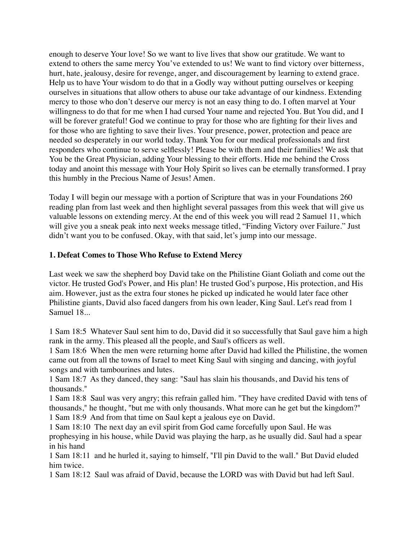enough to deserve Your love! So we want to live lives that show our gratitude. We want to extend to others the same mercy You've extended to us! We want to find victory over bitterness, hurt, hate, jealousy, desire for revenge, anger, and discouragement by learning to extend grace. Help us to have Your wisdom to do that in a Godly way without putting ourselves or keeping ourselves in situations that allow others to abuse our take advantage of our kindness. Extending mercy to those who don't deserve our mercy is not an easy thing to do. I often marvel at Your willingness to do that for me when I had cursed Your name and rejected You. But You did, and I will be forever grateful! God we continue to pray for those who are fighting for their lives and for those who are fighting to save their lives. Your presence, power, protection and peace are needed so desperately in our world today. Thank You for our medical professionals and first responders who continue to serve selflessly! Please be with them and their families! We ask that You be the Great Physician, adding Your blessing to their efforts. Hide me behind the Cross today and anoint this message with Your Holy Spirit so lives can be eternally transformed. I pray this humbly in the Precious Name of Jesus! Amen.

Today I will begin our message with a portion of Scripture that was in your Foundations 260 reading plan from last week and then highlight several passages from this week that will give us valuable lessons on extending mercy. At the end of this week you will read 2 Samuel 11, which will give you a sneak peak into next weeks message titled, "Finding Victory over Failure." Just didn't want you to be confused. Okay, with that said, let's jump into our message.

### **1. Defeat Comes to Those Who Refuse to Extend Mercy**

Last week we saw the shepherd boy David take on the Philistine Giant Goliath and come out the victor. He trusted God's Power, and His plan! He trusted God's purpose, His protection, and His aim. However, just as the extra four stones he picked up indicated he would later face other Philistine giants, David also faced dangers from his own leader, King Saul. Let's read from 1 Samuel 18...

1 Sam 18:5 Whatever Saul sent him to do, David did it so successfully that Saul gave him a high rank in the army. This pleased all the people, and Saul's officers as well.

1 Sam 18:6 When the men were returning home after David had killed the Philistine, the women came out from all the towns of Israel to meet King Saul with singing and dancing, with joyful songs and with tambourines and lutes.

1 Sam 18:7 As they danced, they sang: "Saul has slain his thousands, and David his tens of thousands."

1 Sam 18:8 Saul was very angry; this refrain galled him. "They have credited David with tens of thousands," he thought, "but me with only thousands. What more can he get but the kingdom?" 1 Sam 18:9 And from that time on Saul kept a jealous eye on David.

1 Sam 18:10 The next day an evil spirit from God came forcefully upon Saul. He was prophesying in his house, while David was playing the harp, as he usually did. Saul had a spear in his hand

1 Sam 18:11 and he hurled it, saying to himself, "I'll pin David to the wall." But David eluded him twice.

1 Sam 18:12 Saul was afraid of David, because the LORD was with David but had left Saul.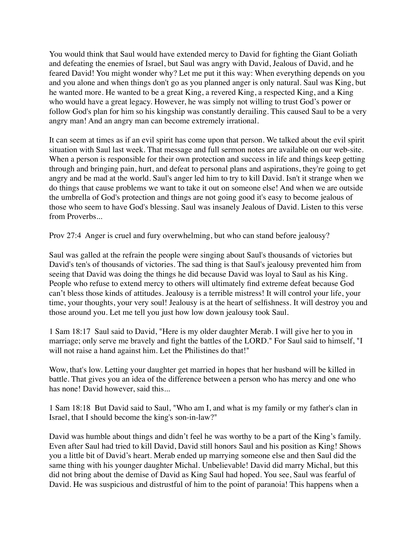You would think that Saul would have extended mercy to David for fighting the Giant Goliath and defeating the enemies of Israel, but Saul was angry with David, Jealous of David, and he feared David! You might wonder why? Let me put it this way: When everything depends on you and you alone and when things don't go as you planned anger is only natural. Saul was King, but he wanted more. He wanted to be a great King, a revered King, a respected King, and a King who would have a great legacy. However, he was simply not willing to trust God's power or follow God's plan for him so his kingship was constantly derailing. This caused Saul to be a very angry man! And an angry man can become extremely irrational.

It can seem at times as if an evil spirit has come upon that person. We talked about the evil spirit situation with Saul last week. That message and full sermon notes are available on our web-site. When a person is responsible for their own protection and success in life and things keep getting through and bringing pain, hurt, and defeat to personal plans and aspirations, they're going to get angry and be mad at the world. Saul's anger led him to try to kill David. Isn't it strange when we do things that cause problems we want to take it out on someone else! And when we are outside the umbrella of God's protection and things are not going good it's easy to become jealous of those who seem to have God's blessing. Saul was insanely Jealous of David. Listen to this verse from Proverbs...

Prov 27:4 Anger is cruel and fury overwhelming, but who can stand before jealousy?

Saul was galled at the refrain the people were singing about Saul's thousands of victories but David's ten's of thousands of victories. The sad thing is that Saul's jealousy prevented him from seeing that David was doing the things he did because David was loyal to Saul as his King. People who refuse to extend mercy to others will ultimately find extreme defeat because God can't bless those kinds of attitudes. Jealousy is a terrible mistress! It will control your life, your time, your thoughts, your very soul! Jealousy is at the heart of selfishness. It will destroy you and those around you. Let me tell you just how low down jealousy took Saul.

1 Sam 18:17 Saul said to David, "Here is my older daughter Merab. I will give her to you in marriage; only serve me bravely and fight the battles of the LORD." For Saul said to himself, "I will not raise a hand against him. Let the Philistines do that!"

Wow, that's low. Letting your daughter get married in hopes that her husband will be killed in battle. That gives you an idea of the difference between a person who has mercy and one who has none! David however, said this...

1 Sam 18:18 But David said to Saul, "Who am I, and what is my family or my father's clan in Israel, that I should become the king's son-in-law?"

David was humble about things and didn't feel he was worthy to be a part of the King's family. Even after Saul had tried to kill David, David still honors Saul and his position as King! Shows you a little bit of David's heart. Merab ended up marrying someone else and then Saul did the same thing with his younger daughter Michal. Unbelievable! David did marry Michal, but this did not bring about the demise of David as King Saul had hoped. You see, Saul was fearful of David. He was suspicious and distrustful of him to the point of paranoia! This happens when a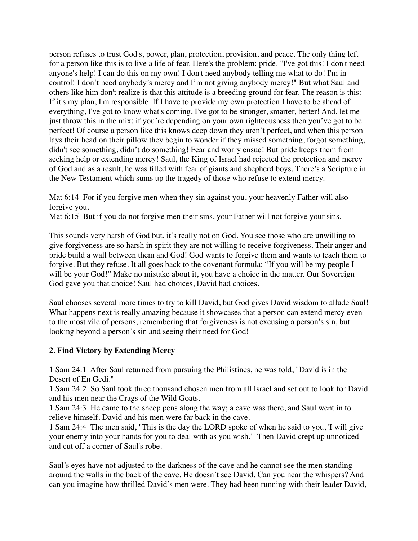person refuses to trust God's, power, plan, protection, provision, and peace. The only thing left for a person like this is to live a life of fear. Here's the problem: pride. "I've got this! I don't need anyone's help! I can do this on my own! I don't need anybody telling me what to do! I'm in control! I don't need anybody's mercy and I'm not giving anybody mercy!" But what Saul and others like him don't realize is that this attitude is a breeding ground for fear. The reason is this: If it's my plan, I'm responsible. If I have to provide my own protection I have to be ahead of everything, I've got to know what's coming, I've got to be stronger, smarter, better! And, let me just throw this in the mix: if you're depending on your own righteousness then you've got to be perfect! Of course a person like this knows deep down they aren't perfect, and when this person lays their head on their pillow they begin to wonder if they missed something, forgot something, didn't see something, didn't do something! Fear and worry ensue! But pride keeps them from seeking help or extending mercy! Saul, the King of Israel had rejected the protection and mercy of God and as a result, he was filled with fear of giants and shepherd boys. There's a Scripture in the New Testament which sums up the tragedy of those who refuse to extend mercy.

Mat 6:14 For if you forgive men when they sin against you, your heavenly Father will also forgive you.

Mat 6:15 But if you do not forgive men their sins, your Father will not forgive your sins.

This sounds very harsh of God but, it's really not on God. You see those who are unwilling to give forgiveness are so harsh in spirit they are not willing to receive forgiveness. Their anger and pride build a wall between them and God! God wants to forgive them and wants to teach them to forgive. But they refuse. It all goes back to the covenant formula: "If you will be my people I will be your God!" Make no mistake about it, you have a choice in the matter. Our Sovereign God gave you that choice! Saul had choices, David had choices.

Saul chooses several more times to try to kill David, but God gives David wisdom to allude Saul! What happens next is really amazing because it showcases that a person can extend mercy even to the most vile of persons, remembering that forgiveness is not excusing a person's sin, but looking beyond a person's sin and seeing their need for God!

# **2. Find Victory by Extending Mercy**

1 Sam 24:1 After Saul returned from pursuing the Philistines, he was told, "David is in the Desert of En Gedi."

1 Sam 24:2 So Saul took three thousand chosen men from all Israel and set out to look for David and his men near the Crags of the Wild Goats.

1 Sam 24:3 He came to the sheep pens along the way; a cave was there, and Saul went in to relieve himself. David and his men were far back in the cave.

1 Sam 24:4 The men said, "This is the day the LORD spoke of when he said to you, 'I will give your enemy into your hands for you to deal with as you wish.'" Then David crept up unnoticed and cut off a corner of Saul's robe.

Saul's eyes have not adjusted to the darkness of the cave and he cannot see the men standing around the walls in the back of the cave. He doesn't see David. Can you hear the whispers? And can you imagine how thrilled David's men were. They had been running with their leader David,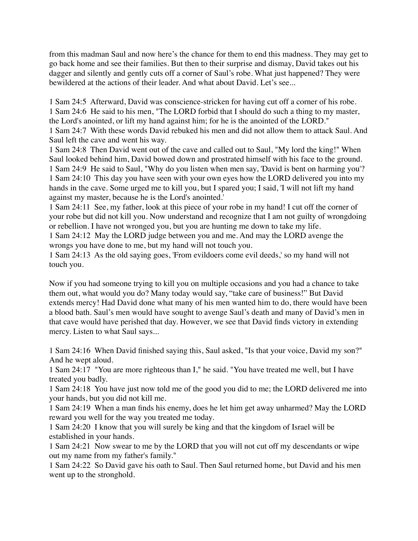from this madman Saul and now here's the chance for them to end this madness. They may get to go back home and see their families. But then to their surprise and dismay, David takes out his dagger and silently and gently cuts off a corner of Saul's robe. What just happened? They were bewildered at the actions of their leader. And what about David. Let's see...

1 Sam 24:5 Afterward, David was conscience-stricken for having cut off a corner of his robe. 1 Sam 24:6 He said to his men, "The LORD forbid that I should do such a thing to my master, the Lord's anointed, or lift my hand against him; for he is the anointed of the LORD."

1 Sam 24:7 With these words David rebuked his men and did not allow them to attack Saul. And Saul left the cave and went his way.

1 Sam 24:8 Then David went out of the cave and called out to Saul, "My lord the king!" When Saul looked behind him, David bowed down and prostrated himself with his face to the ground. 1 Sam 24:9 He said to Saul, "Why do you listen when men say, 'David is bent on harming you'? 1 Sam 24:10 This day you have seen with your own eyes how the LORD delivered you into my hands in the cave. Some urged me to kill you, but I spared you; I said, 'I will not lift my hand against my master, because he is the Lord's anointed.'

1 Sam 24:11 See, my father, look at this piece of your robe in my hand! I cut off the corner of your robe but did not kill you. Now understand and recognize that I am not guilty of wrongdoing or rebellion. I have not wronged you, but you are hunting me down to take my life.

1 Sam 24:12 May the LORD judge between you and me. And may the LORD avenge the wrongs you have done to me, but my hand will not touch you.

1 Sam 24:13 As the old saying goes, 'From evildoers come evil deeds,' so my hand will not touch you.

Now if you had someone trying to kill you on multiple occasions and you had a chance to take them out, what would you do? Many today would say, "take care of business!" But David extends mercy! Had David done what many of his men wanted him to do, there would have been a blood bath. Saul's men would have sought to avenge Saul's death and many of David's men in that cave would have perished that day. However, we see that David finds victory in extending mercy. Listen to what Saul says...

1 Sam 24:16 When David finished saying this, Saul asked, "Is that your voice, David my son?" And he wept aloud.

1 Sam 24:17 "You are more righteous than I," he said. "You have treated me well, but I have treated you badly.

1 Sam 24:18 You have just now told me of the good you did to me; the LORD delivered me into your hands, but you did not kill me.

1 Sam 24:19 When a man finds his enemy, does he let him get away unharmed? May the LORD reward you well for the way you treated me today.

1 Sam 24:20 I know that you will surely be king and that the kingdom of Israel will be established in your hands.

1 Sam 24:21 Now swear to me by the LORD that you will not cut off my descendants or wipe out my name from my father's family."

1 Sam 24:22 So David gave his oath to Saul. Then Saul returned home, but David and his men went up to the stronghold.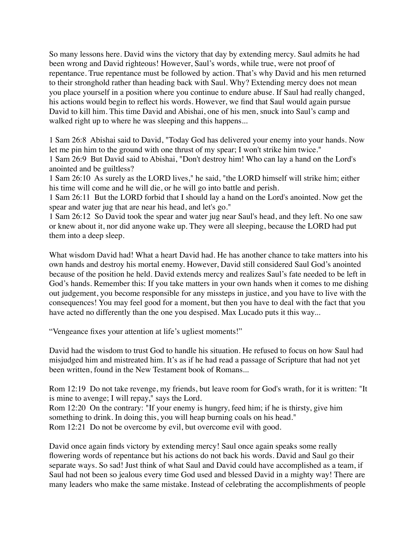So many lessons here. David wins the victory that day by extending mercy. Saul admits he had been wrong and David righteous! However, Saul's words, while true, were not proof of repentance. True repentance must be followed by action. That's why David and his men returned to their stronghold rather than heading back with Saul. Why? Extending mercy does not mean you place yourself in a position where you continue to endure abuse. If Saul had really changed, his actions would begin to reflect his words. However, we find that Saul would again pursue David to kill him. This time David and Abishai, one of his men, snuck into Saul's camp and walked right up to where he was sleeping and this happens...

1 Sam 26:8 Abishai said to David, "Today God has delivered your enemy into your hands. Now let me pin him to the ground with one thrust of my spear; I won't strike him twice." 1 Sam 26:9 But David said to Abishai, "Don't destroy him! Who can lay a hand on the Lord's anointed and be guiltless?

1 Sam 26:10 As surely as the LORD lives," he said, "the LORD himself will strike him; either his time will come and he will die, or he will go into battle and perish.

1 Sam 26:11 But the LORD forbid that I should lay a hand on the Lord's anointed. Now get the spear and water jug that are near his head, and let's go."

1 Sam 26:12 So David took the spear and water jug near Saul's head, and they left. No one saw or knew about it, nor did anyone wake up. They were all sleeping, because the LORD had put them into a deep sleep.

What wisdom David had! What a heart David had. He has another chance to take matters into his own hands and destroy his mortal enemy. However, David still considered Saul God's anointed because of the position he held. David extends mercy and realizes Saul's fate needed to be left in God's hands. Remember this: If you take matters in your own hands when it comes to me dishing out judgement, you become responsible for any missteps in justice, and you have to live with the consequences! You may feel good for a moment, but then you have to deal with the fact that you have acted no differently than the one you despised. Max Lucado puts it this way...

"Vengeance fixes your attention at life's ugliest moments!"

David had the wisdom to trust God to handle his situation. He refused to focus on how Saul had misjudged him and mistreated him. It's as if he had read a passage of Scripture that had not yet been written, found in the New Testament book of Romans...

Rom 12:19 Do not take revenge, my friends, but leave room for God's wrath, for it is written: "It is mine to avenge; I will repay," says the Lord.

Rom 12:20 On the contrary: "If your enemy is hungry, feed him; if he is thirsty, give him something to drink. In doing this, you will heap burning coals on his head." Rom 12:21 Do not be overcome by evil, but overcome evil with good.

David once again finds victory by extending mercy! Saul once again speaks some really flowering words of repentance but his actions do not back his words. David and Saul go their separate ways. So sad! Just think of what Saul and David could have accomplished as a team, if Saul had not been so jealous every time God used and blessed David in a mighty way! There are many leaders who make the same mistake. Instead of celebrating the accomplishments of people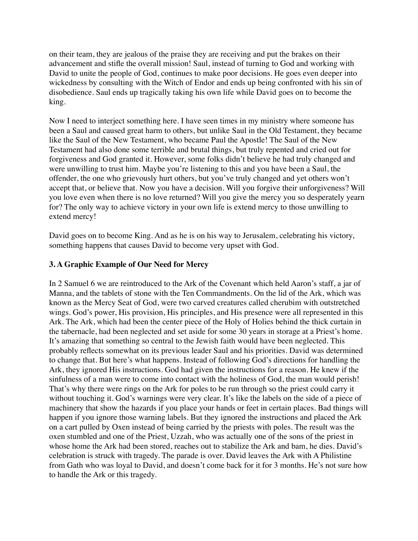on their team, they are jealous of the praise they are receiving and put the brakes on their advancement and stifle the overall mission! Saul, instead of turning to God and working with David to unite the people of God, continues to make poor decisions. He goes even deeper into wickedness by consulting with the Witch of Endor and ends up being confronted with his sin of disobedience. Saul ends up tragically taking his own life while David goes on to become the king.

Now I need to interject something here. I have seen times in my ministry where someone has been a Saul and caused great harm to others, but unlike Saul in the Old Testament, they became like the Saul of the New Testament, who became Paul the Apostle! The Saul of the New Testament had also done some terrible and brutal things, but truly repented and cried out for forgiveness and God granted it. However, some folks didn't believe he had truly changed and were unwilling to trust him. Maybe you're listening to this and you have been a Saul, the offender, the one who grievously hurt others, but you've truly changed and yet others won't accept that, or believe that. Now you have a decision. Will you forgive their unforgiveness? Will you love even when there is no love returned? Will you give the mercy you so desperately yearn for? The only way to achieve victory in your own life is extend mercy to those unwilling to extend mercy!

David goes on to become King. And as he is on his way to Jerusalem, celebrating his victory, something happens that causes David to become very upset with God.

# **3. A Graphic Example of Our Need for Mercy**

In 2 Samuel 6 we are reintroduced to the Ark of the Covenant which held Aaron's staff, a jar of Manna, and the tablets of stone with the Ten Commandments. On the lid of the Ark, which was known as the Mercy Seat of God, were two carved creatures called cherubim with outstretched wings. God's power, His provision, His principles, and His presence were all represented in this Ark. The Ark, which had been the center piece of the Holy of Holies behind the thick curtain in the tabernacle, had been neglected and set aside for some 30 years in storage at a Priest's home. It's amazing that something so central to the Jewish faith would have been neglected. This probably reflects somewhat on its previous leader Saul and his priorities. David was determined to change that. But here's what happens. Instead of following God's directions for handling the Ark, they ignored His instructions. God had given the instructions for a reason. He knew if the sinfulness of a man were to come into contact with the holiness of God, the man would perish! That's why there were rings on the Ark for poles to be run through so the priest could carry it without touching it. God's warnings were very clear. It's like the labels on the side of a piece of machinery that show the hazards if you place your hands or feet in certain places. Bad things will happen if you ignore those warning labels. But they ignored the instructions and placed the Ark on a cart pulled by Oxen instead of being carried by the priests with poles. The result was the oxen stumbled and one of the Priest, Uzzah, who was actually one of the sons of the priest in whose home the Ark had been stored, reaches out to stabilize the Ark and bam, he dies. David's celebration is struck with tragedy. The parade is over. David leaves the Ark with A Philistine from Gath who was loyal to David, and doesn't come back for it for 3 months. He's not sure how to handle the Ark or this tragedy.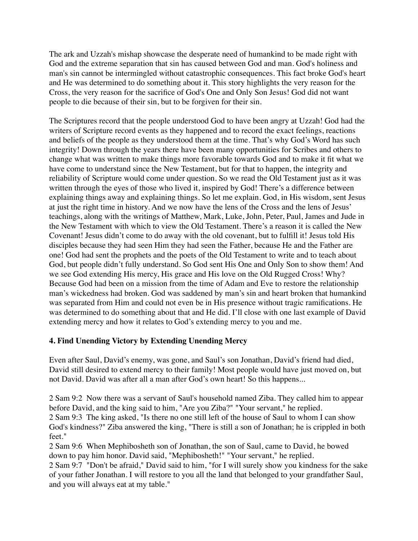The ark and Uzzah's mishap showcase the desperate need of humankind to be made right with God and the extreme separation that sin has caused between God and man. God's holiness and man's sin cannot be intermingled without catastrophic consequences. This fact broke God's heart and He was determined to do something about it. This story highlights the very reason for the Cross, the very reason for the sacrifice of God's One and Only Son Jesus! God did not want people to die because of their sin, but to be forgiven for their sin.

The Scriptures record that the people understood God to have been angry at Uzzah! God had the writers of Scripture record events as they happened and to record the exact feelings, reactions and beliefs of the people as they understood them at the time. That's why God's Word has such integrity! Down through the years there have been many opportunities for Scribes and others to change what was written to make things more favorable towards God and to make it fit what we have come to understand since the New Testament, but for that to happen, the integrity and reliability of Scripture would come under question. So we read the Old Testament just as it was written through the eyes of those who lived it, inspired by God! There's a difference between explaining things away and explaining things. So let me explain. God, in His wisdom, sent Jesus at just the right time in history. And we now have the lens of the Cross and the lens of Jesus' teachings, along with the writings of Matthew, Mark, Luke, John, Peter, Paul, James and Jude in the New Testament with which to view the Old Testament. There's a reason it is called the New Covenant! Jesus didn't come to do away with the old covenant, but to fulfill it! Jesus told His disciples because they had seen Him they had seen the Father, because He and the Father are one! God had sent the prophets and the poets of the Old Testament to write and to teach about God, but people didn't fully understand. So God sent His One and Only Son to show them! And we see God extending His mercy, His grace and His love on the Old Rugged Cross! Why? Because God had been on a mission from the time of Adam and Eve to restore the relationship man's wickedness had broken. God was saddened by man's sin and heart broken that humankind was separated from Him and could not even be in His presence without tragic ramifications. He was determined to do something about that and He did. I'll close with one last example of David extending mercy and how it relates to God's extending mercy to you and me.

# **4. Find Unending Victory by Extending Unending Mercy**

Even after Saul, David's enemy, was gone, and Saul's son Jonathan, David's friend had died, David still desired to extend mercy to their family! Most people would have just moved on, but not David. David was after all a man after God's own heart! So this happens...

2 Sam 9:2 Now there was a servant of Saul's household named Ziba. They called him to appear before David, and the king said to him, "Are you Ziba?" "Your servant," he replied. 2 Sam 9:3 The king asked, "Is there no one still left of the house of Saul to whom I can show

God's kindness?" Ziba answered the king, "There is still a son of Jonathan; he is crippled in both feet."

2 Sam 9:6 When Mephibosheth son of Jonathan, the son of Saul, came to David, he bowed down to pay him honor. David said, "Mephibosheth!" "Your servant," he replied.

2 Sam 9:7 "Don't be afraid," David said to him, "for I will surely show you kindness for the sake of your father Jonathan. I will restore to you all the land that belonged to your grandfather Saul, and you will always eat at my table."